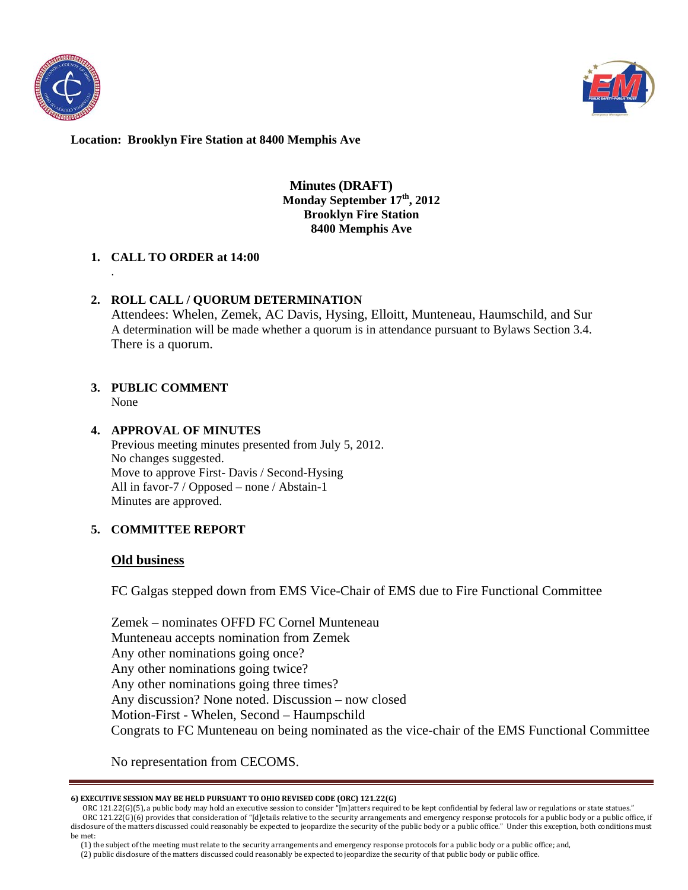



### **Minutes (DRAFT) Monday September 17th, 2012 Brooklyn Fire Station 8400 Memphis Ave**

### **1. CALL TO ORDER at 14:00**

### **2. ROLL CALL / QUORUM DETERMINATION**

Attendees: Whelen, Zemek, AC Davis, Hysing, Elloitt, Munteneau, Haumschild, and Sur A determination will be made whether a quorum is in attendance pursuant to Bylaws Section 3.4. There is a quorum.

# **3. PUBLIC COMMENT**

None

.

## **4. APPROVAL OF MINUTES**

Previous meeting minutes presented from July 5, 2012. No changes suggested. Move to approve First- Davis / Second-Hysing All in favor-7 / Opposed – none / Abstain-1 Minutes are approved.

## **5. COMMITTEE REPORT**

### **Old business**

FC Galgas stepped down from EMS Vice-Chair of EMS due to Fire Functional Committee

Zemek – nominates OFFD FC Cornel Munteneau Munteneau accepts nomination from Zemek Any other nominations going once? Any other nominations going twice? Any other nominations going three times? Any discussion? None noted. Discussion – now closed Motion-First - Whelen, Second – Haumpschild Congrats to FC Munteneau on being nominated as the vice-chair of the EMS Functional Committee

No representation from CECOMS.

#### **6) EXECUTIVE SESSION MAY BE HELD PURSUANT TO OHIO REVISED CODE (ORC) 121.22(G)**

(2) public disclosure of the matters discussed could reasonably be expected to jeopardize the security of that public body or public office.

ORC 121.22(G)(5), a public body may hold an executive session to consider "[m]atters required to be kept confidential by federal law or regulations or state statues." ORC 121.22(G)(6) provides that consideration of "[d]etails relative to the security arrangements and emergency response protocols for a public body or a public office, if disclosure of the matters discussed could reasonably be expected to jeopardize the security of the public body or a public office." Under this exception, both conditions must be met:

 <sup>(1)</sup> the subject of the meeting must relate to the security arrangements and emergency response protocols for a public body or a public office; and,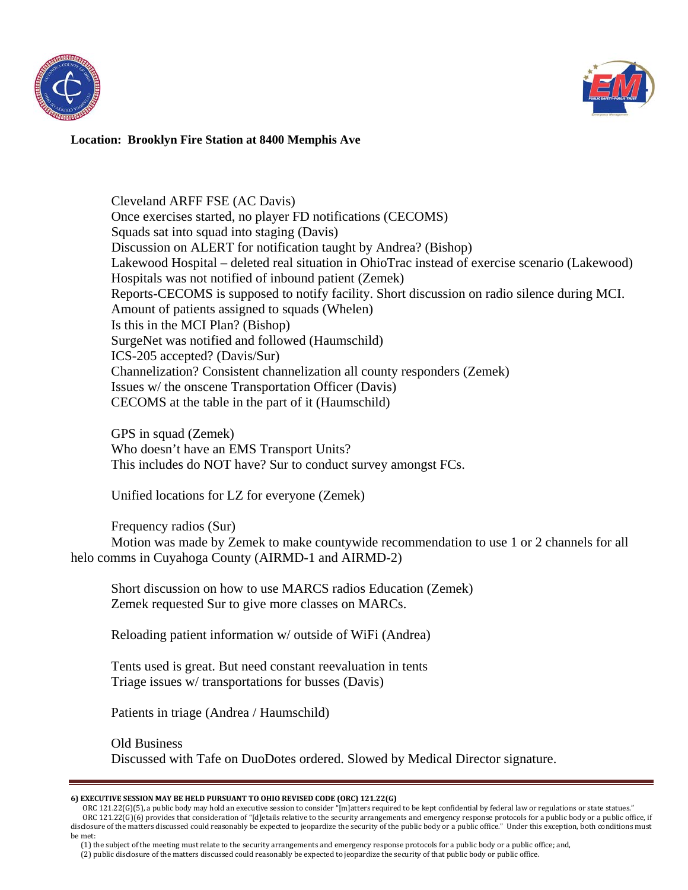



Cleveland ARFF FSE (AC Davis) Once exercises started, no player FD notifications (CECOMS) Squads sat into squad into staging (Davis) Discussion on ALERT for notification taught by Andrea? (Bishop) Lakewood Hospital – deleted real situation in OhioTrac instead of exercise scenario (Lakewood) Hospitals was not notified of inbound patient (Zemek) Reports-CECOMS is supposed to notify facility. Short discussion on radio silence during MCI. Amount of patients assigned to squads (Whelen) Is this in the MCI Plan? (Bishop) SurgeNet was notified and followed (Haumschild) ICS-205 accepted? (Davis/Sur) Channelization? Consistent channelization all county responders (Zemek) Issues w/ the onscene Transportation Officer (Davis) CECOMS at the table in the part of it (Haumschild)

GPS in squad (Zemek) Who doesn't have an EMS Transport Units? This includes do NOT have? Sur to conduct survey amongst FCs.

Unified locations for LZ for everyone (Zemek)

Frequency radios (Sur)

Motion was made by Zemek to make countywide recommendation to use 1 or 2 channels for all helo comms in Cuyahoga County (AIRMD-1 and AIRMD-2)

Short discussion on how to use MARCS radios Education (Zemek) Zemek requested Sur to give more classes on MARCs.

Reloading patient information w/ outside of WiFi (Andrea)

Tents used is great. But need constant reevaluation in tents Triage issues w/ transportations for busses (Davis)

Patients in triage (Andrea / Haumschild)

Old Business Discussed with Tafe on DuoDotes ordered. Slowed by Medical Director signature.

#### **6) EXECUTIVE SESSION MAY BE HELD PURSUANT TO OHIO REVISED CODE (ORC) 121.22(G)**

 ORC 121.22(G)(5), a public body may hold an executive session to consider "[m]atters required to be kept confidential by federal law or regulations or state statues." ORC 121.22(G)(6) provides that consideration of "[d]etails relative to the security arrangements and emergency response protocols for a public body or a public office, if disclosure of the matters discussed could reasonably be expected to jeopardize the security of the public body or a public office." Under this exception, both conditions must be met:

 (1) the subject of the meeting must relate to the security arrangements and emergency response protocols for a public body or a public office; and, (2) public disclosure of the matters discussed could reasonably be expected to jeopardize the security of that public body or public office.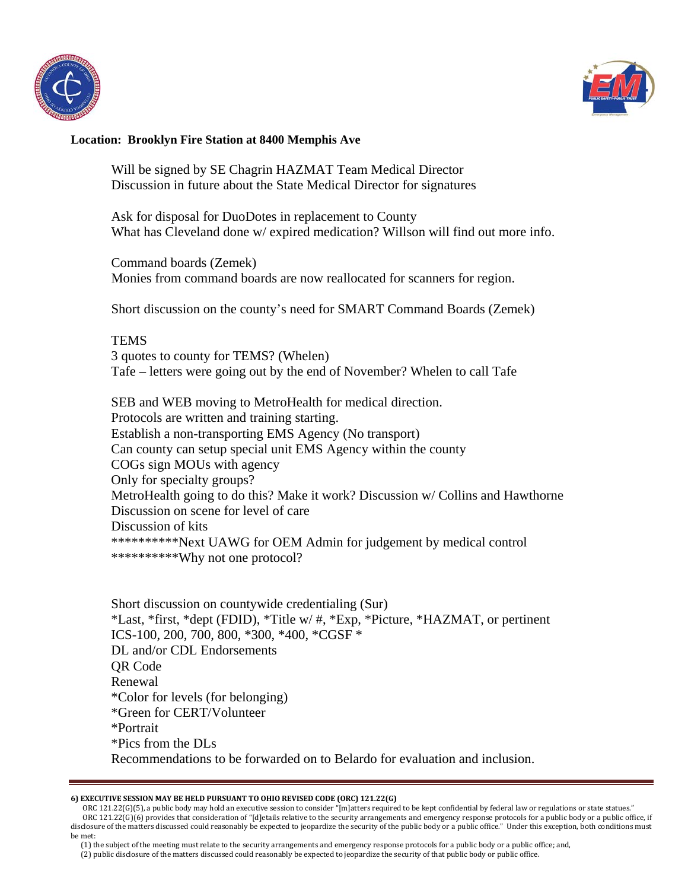



Will be signed by SE Chagrin HAZMAT Team Medical Director Discussion in future about the State Medical Director for signatures

Ask for disposal for DuoDotes in replacement to County What has Cleveland done w/ expired medication? Willson will find out more info.

Command boards (Zemek) Monies from command boards are now reallocated for scanners for region.

Short discussion on the county's need for SMART Command Boards (Zemek)

**TEMS** 3 quotes to county for TEMS? (Whelen) Tafe – letters were going out by the end of November? Whelen to call Tafe

SEB and WEB moving to MetroHealth for medical direction. Protocols are written and training starting. Establish a non-transporting EMS Agency (No transport) Can county can setup special unit EMS Agency within the county COGs sign MOUs with agency Only for specialty groups? MetroHealth going to do this? Make it work? Discussion w/ Collins and Hawthorne Discussion on scene for level of care Discussion of kits \*\*\*\*\*\*\*\*\*\*Next UAWG for OEM Admin for judgement by medical control \*\*\*\*\*\*\*\*\*\*Why not one protocol?

Short discussion on countywide credentialing (Sur) \*Last, \*first, \*dept (FDID), \*Title w/ #, \*Exp, \*Picture, \*HAZMAT, or pertinent ICS-100, 200, 700, 800, \*300, \*400, \*CGSF \* DL and/or CDL Endorsements QR Code Renewal \*Color for levels (for belonging) \*Green for CERT/Volunteer \*Portrait \*Pics from the DLs Recommendations to be forwarded on to Belardo for evaluation and inclusion.

#### **6) EXECUTIVE SESSION MAY BE HELD PURSUANT TO OHIO REVISED CODE (ORC) 121.22(G)**

 ORC 121.22(G)(5), a public body may hold an executive session to consider "[m]atters required to be kept confidential by federal law or regulations or state statues." ORC 121.22(G)(6) provides that consideration of "[d]etails relative to the security arrangements and emergency response protocols for a public body or a public office, if disclosure of the matters discussed could reasonably be expected to jeopardize the security of the public body or a public office." Under this exception, both conditions must be met:

 (1) the subject of the meeting must relate to the security arrangements and emergency response protocols for a public body or a public office; and, (2) public disclosure of the matters discussed could reasonably be expected to jeopardize the security of that public body or public office.